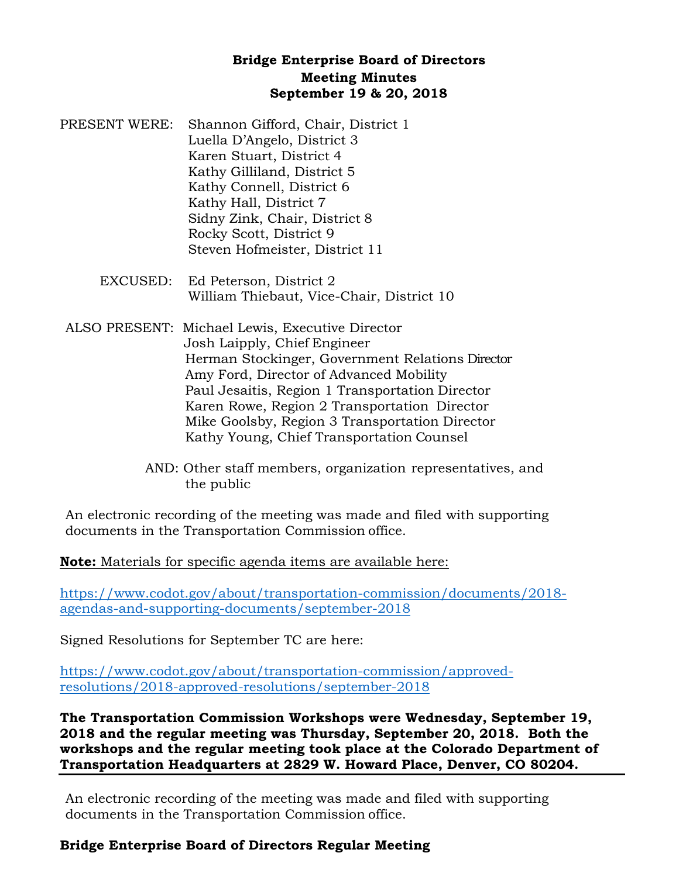## **Bridge Enterprise Board of Directors Meeting Minutes September 19 & 20, 2018**

- PRESENT WERE: Shannon Gifford, Chair, District 1 Luella D'Angelo, District 3 Karen Stuart, District 4 Kathy Gilliland, District 5 Kathy Connell, District 6 Kathy Hall, District 7 Sidny Zink, Chair, District 8 Rocky Scott, District 9 Steven Hofmeister, District 11
	- EXCUSED: Ed Peterson, District 2 William Thiebaut, Vice-Chair, District 10
- ALSO PRESENT: Michael Lewis, Executive Director Josh Laipply, Chief Engineer Herman Stockinger, Government Relations Director Amy Ford, Director of Advanced Mobility Paul Jesaitis, Region 1 Transportation Director Karen Rowe, Region 2 Transportation Director Mike Goolsby, Region 3 Transportation Director Kathy Young, Chief Transportation Counsel
	- AND: Other staff members, organization representatives, and the public

An electronic recording of the meeting was made and filed with supporting documents in the Transportation Commission office.

**Note:** Materials for specific agenda items are available here:

[https://www.codot.gov/about/transportation-commission/documents/2018](https://www.codot.gov/about/transportation-commission/documents/2018-agendas-and-supporting-documents/september-2018) [agendas-and-supporting-documents/september-2018](https://www.codot.gov/about/transportation-commission/documents/2018-agendas-and-supporting-documents/september-2018)

Signed Resolutions for September TC are here:

[https://www.codot.gov/about/transportation-commission/approved](https://www.codot.gov/about/transportation-commission/approved-resolutions/2018-approved-resolutions/september-2018)[resolutions/2018-approved-resolutions/september-2018](https://www.codot.gov/about/transportation-commission/approved-resolutions/2018-approved-resolutions/september-2018)

**The Transportation Commission Workshops were Wednesday, September 19, 2018 and the regular meeting was Thursday, September 20, 2018. Both the workshops and the regular meeting took place at the Colorado Department of Transportation Headquarters at 2829 W. Howard Place, Denver, CO 80204.** 

An electronic recording of the meeting was made and filed with supporting documents in the Transportation Commission office.

## **Bridge Enterprise Board of Directors Regular Meeting**